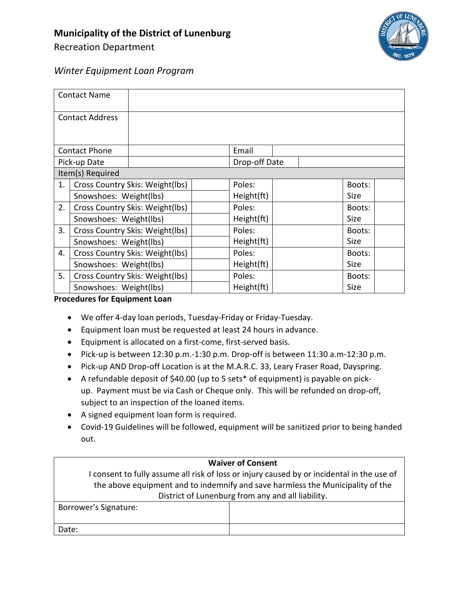Recreation Department



## *Winter Equipment Loan Program*

|                        | <b>Contact Name</b>             |                                 |  |               |  |  |             |  |
|------------------------|---------------------------------|---------------------------------|--|---------------|--|--|-------------|--|
| <b>Contact Address</b> |                                 |                                 |  |               |  |  |             |  |
|                        |                                 |                                 |  |               |  |  |             |  |
| <b>Contact Phone</b>   |                                 |                                 |  | Email         |  |  |             |  |
| Pick-up Date           |                                 |                                 |  | Drop-off Date |  |  |             |  |
| Item(s) Required       |                                 |                                 |  |               |  |  |             |  |
| 1.                     |                                 | Cross Country Skis: Weight(lbs) |  | Poles:        |  |  | Boots:      |  |
|                        | Snowshoes: Weight(lbs)          |                                 |  | Height(ft)    |  |  | Size        |  |
| 2.                     | Cross Country Skis: Weight(lbs) |                                 |  | Poles:        |  |  | Boots:      |  |
|                        | Snowshoes: Weight(lbs)          |                                 |  | Height(ft)    |  |  | <b>Size</b> |  |
| 3.                     | Cross Country Skis: Weight(lbs) |                                 |  | Poles:        |  |  | Boots:      |  |
|                        |                                 | Snowshoes: Weight(lbs)          |  | Height(ft)    |  |  | Size        |  |
| 4.                     |                                 | Cross Country Skis: Weight(lbs) |  | Poles:        |  |  | Boots:      |  |
|                        | Snowshoes: Weight(lbs)          |                                 |  | Height(ft)    |  |  | Size        |  |
| 5.                     |                                 | Cross Country Skis: Weight(lbs) |  | Poles:        |  |  | Boots:      |  |
|                        | Snowshoes: Weight(lbs)          |                                 |  | Height(ft)    |  |  | Size        |  |

**Procedures for Equipment Loan**

- We offer 4-day loan periods, Tuesday-Friday or Friday-Tuesday.
- Equipment loan must be requested at least 24 hours in advance.
- Equipment is allocated on a first-come, first-served basis.
- Pick-up is between 12:30 p.m.-1:30 p.m. Drop-off is between 11:30 a.m-12:30 p.m.
- Pick-up AND Drop-off Location is at the M.A.R.C. 33, Leary Fraser Road, Dayspring.
- A refundable deposit of \$40.00 (up to 5 sets\* of equipment) is payable on pickup. Payment must be via Cash or Cheque only. This will be refunded on drop-off, subject to an inspection of the loaned items.
- A signed equipment loan form is required.
- Covid-19 Guidelines will be followed, equipment will be sanitized prior to being handed out.

| <b>Waiver of Consent</b>                                                                   |  |  |  |  |  |
|--------------------------------------------------------------------------------------------|--|--|--|--|--|
| I consent to fully assume all risk of loss or injury caused by or incidental in the use of |  |  |  |  |  |
| the above equipment and to indemnify and save harmless the Municipality of the             |  |  |  |  |  |
| District of Lunenburg from any and all liability.                                          |  |  |  |  |  |
| Borrower's Signature:                                                                      |  |  |  |  |  |
|                                                                                            |  |  |  |  |  |
| Date:                                                                                      |  |  |  |  |  |